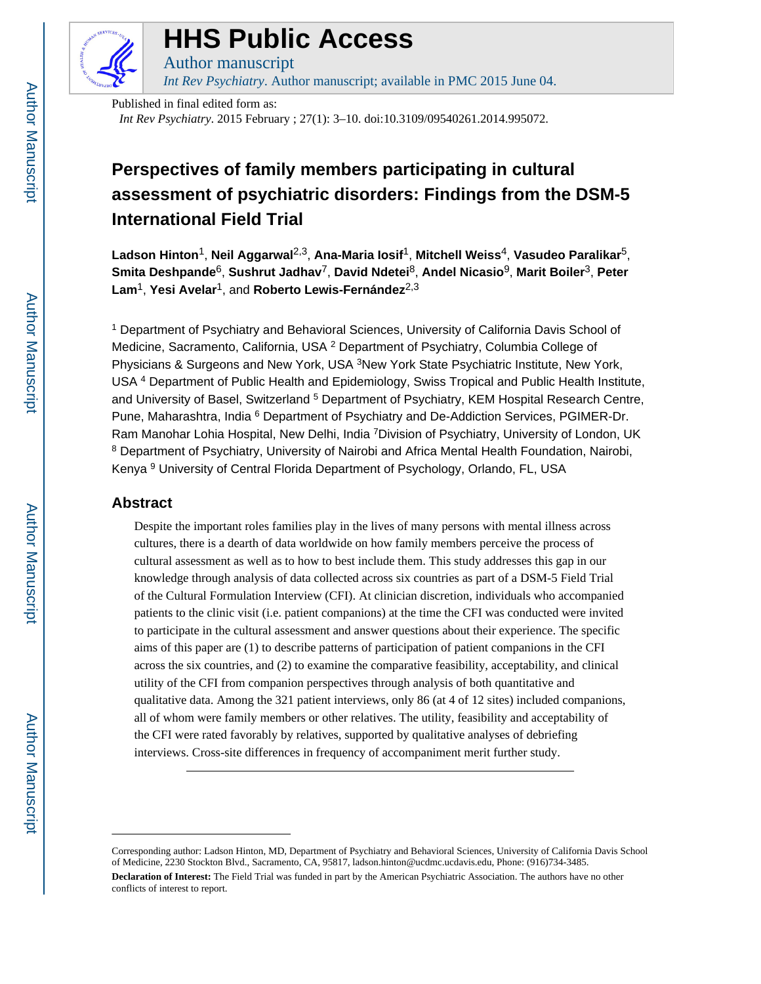

# **HHS Public Access**

Author manuscript *Int Rev Psychiatry*. Author manuscript; available in PMC 2015 June 04.

Published in final edited form as:

*Int Rev Psychiatry*. 2015 February ; 27(1): 3–10. doi:10.3109/09540261.2014.995072.

## **Perspectives of family members participating in cultural assessment of psychiatric disorders: Findings from the DSM-5 International Field Trial**

**Ladson Hinton**1, **Neil Aggarwal**2,3, **Ana-Maria Iosif**1, **Mitchell Weiss**4, **Vasudeo Paralikar**5, **Smita Deshpande**6, **Sushrut Jadhav**7, **David Ndetei**8, **Andel Nicasio**9, **Marit Boiler**3, **Peter Lam**1, **Yesi Avelar**1, and **Roberto Lewis-Fernández**2,3

<sup>1</sup> Department of Psychiatry and Behavioral Sciences, University of California Davis School of Medicine, Sacramento, California, USA <sup>2</sup> Department of Psychiatry, Columbia College of Physicians & Surgeons and New York, USA <sup>3</sup>New York State Psychiatric Institute, New York, USA<sup>4</sup> Department of Public Health and Epidemiology, Swiss Tropical and Public Health Institute, and University of Basel, Switzerland <sup>5</sup> Department of Psychiatry, KEM Hospital Research Centre, Pune, Maharashtra, India <sup>6</sup> Department of Psychiatry and De-Addiction Services, PGIMER-Dr. Ram Manohar Lohia Hospital, New Delhi, India <sup>7</sup>Division of Psychiatry, University of London, UK <sup>8</sup> Department of Psychiatry, University of Nairobi and Africa Mental Health Foundation, Nairobi, Kenya <sup>9</sup> University of Central Florida Department of Psychology, Orlando, FL, USA

## **Abstract**

Despite the important roles families play in the lives of many persons with mental illness across cultures, there is a dearth of data worldwide on how family members perceive the process of cultural assessment as well as to how to best include them. This study addresses this gap in our knowledge through analysis of data collected across six countries as part of a DSM-5 Field Trial of the Cultural Formulation Interview (CFI). At clinician discretion, individuals who accompanied patients to the clinic visit (i.e. patient companions) at the time the CFI was conducted were invited to participate in the cultural assessment and answer questions about their experience. The specific aims of this paper are (1) to describe patterns of participation of patient companions in the CFI across the six countries, and (2) to examine the comparative feasibility, acceptability, and clinical utility of the CFI from companion perspectives through analysis of both quantitative and qualitative data. Among the 321 patient interviews, only 86 (at 4 of 12 sites) included companions, all of whom were family members or other relatives. The utility, feasibility and acceptability of the CFI were rated favorably by relatives, supported by qualitative analyses of debriefing interviews. Cross-site differences in frequency of accompaniment merit further study.

Corresponding author: Ladson Hinton, MD, Department of Psychiatry and Behavioral Sciences, University of California Davis School of Medicine, 2230 Stockton Blvd., Sacramento, CA, 95817, ladson.hinton@ucdmc.ucdavis.edu, Phone: (916)734-3485. **Declaration of Interest:** The Field Trial was funded in part by the American Psychiatric Association. The authors have no other conflicts of interest to report.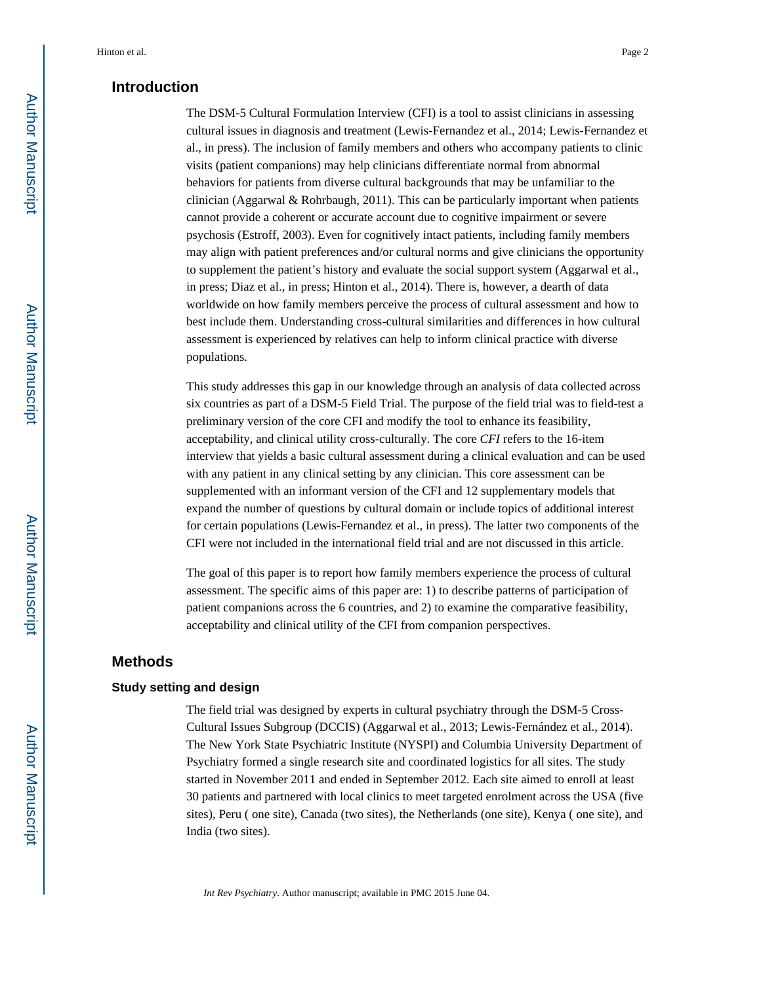## **Introduction**

The DSM-5 Cultural Formulation Interview (CFI) is a tool to assist clinicians in assessing cultural issues in diagnosis and treatment (Lewis-Fernandez et al., 2014; Lewis-Fernandez et al., in press). The inclusion of family members and others who accompany patients to clinic visits (patient companions) may help clinicians differentiate normal from abnormal behaviors for patients from diverse cultural backgrounds that may be unfamiliar to the clinician (Aggarwal & Rohrbaugh, 2011). This can be particularly important when patients cannot provide a coherent or accurate account due to cognitive impairment or severe psychosis (Estroff, 2003). Even for cognitively intact patients, including family members may align with patient preferences and/or cultural norms and give clinicians the opportunity to supplement the patient's history and evaluate the social support system (Aggarwal et al., in press; Diaz et al., in press; Hinton et al., 2014). There is, however, a dearth of data worldwide on how family members perceive the process of cultural assessment and how to best include them. Understanding cross-cultural similarities and differences in how cultural assessment is experienced by relatives can help to inform clinical practice with diverse populations.

This study addresses this gap in our knowledge through an analysis of data collected across six countries as part of a DSM-5 Field Trial. The purpose of the field trial was to field-test a preliminary version of the core CFI and modify the tool to enhance its feasibility, acceptability, and clinical utility cross-culturally. The core *CFI* refers to the 16-item interview that yields a basic cultural assessment during a clinical evaluation and can be used with any patient in any clinical setting by any clinician. This core assessment can be supplemented with an informant version of the CFI and 12 supplementary models that expand the number of questions by cultural domain or include topics of additional interest for certain populations (Lewis-Fernandez et al., in press). The latter two components of the CFI were not included in the international field trial and are not discussed in this article.

The goal of this paper is to report how family members experience the process of cultural assessment. The specific aims of this paper are: 1) to describe patterns of participation of patient companions across the 6 countries, and 2) to examine the comparative feasibility, acceptability and clinical utility of the CFI from companion perspectives.

## **Methods**

#### **Study setting and design**

The field trial was designed by experts in cultural psychiatry through the DSM-5 Cross-Cultural Issues Subgroup (DCCIS) (Aggarwal et al., 2013; Lewis-Fernández et al., 2014). The New York State Psychiatric Institute (NYSPI) and Columbia University Department of Psychiatry formed a single research site and coordinated logistics for all sites. The study started in November 2011 and ended in September 2012. Each site aimed to enroll at least 30 patients and partnered with local clinics to meet targeted enrolment across the USA (five sites), Peru ( one site), Canada (two sites), the Netherlands (one site), Kenya ( one site), and India (two sites).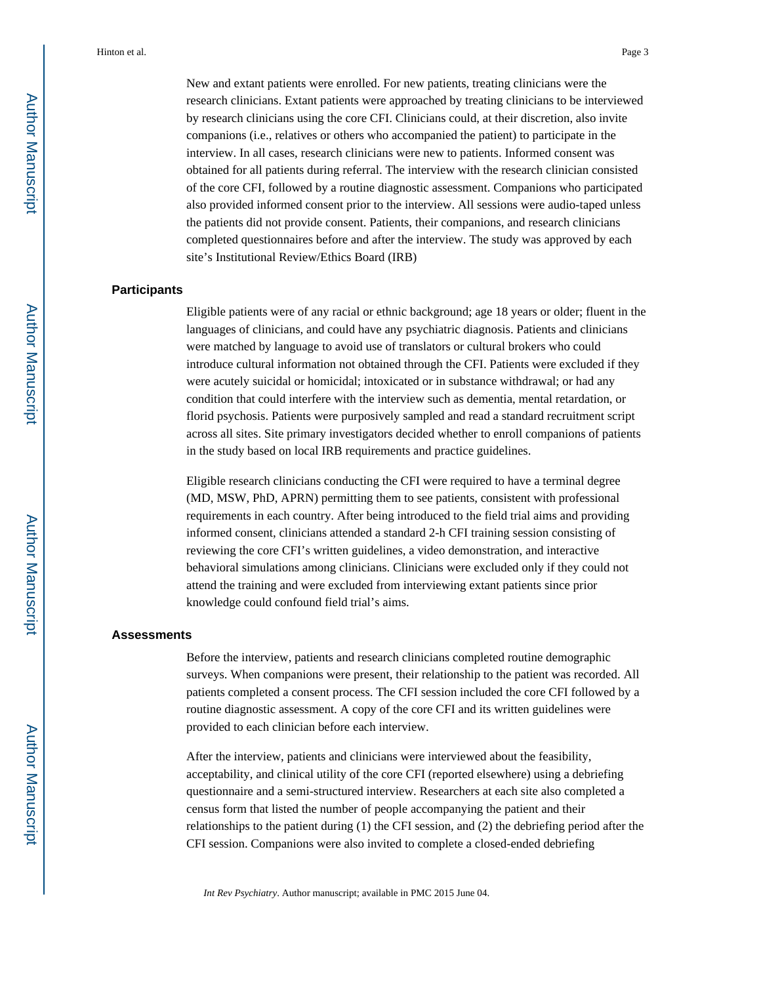New and extant patients were enrolled. For new patients, treating clinicians were the research clinicians. Extant patients were approached by treating clinicians to be interviewed by research clinicians using the core CFI. Clinicians could, at their discretion, also invite companions (i.e., relatives or others who accompanied the patient) to participate in the interview. In all cases, research clinicians were new to patients. Informed consent was obtained for all patients during referral. The interview with the research clinician consisted of the core CFI, followed by a routine diagnostic assessment. Companions who participated also provided informed consent prior to the interview. All sessions were audio-taped unless the patients did not provide consent. Patients, their companions, and research clinicians completed questionnaires before and after the interview. The study was approved by each site's Institutional Review/Ethics Board (IRB)

#### **Participants**

Eligible patients were of any racial or ethnic background; age 18 years or older; fluent in the languages of clinicians, and could have any psychiatric diagnosis. Patients and clinicians were matched by language to avoid use of translators or cultural brokers who could introduce cultural information not obtained through the CFI. Patients were excluded if they were acutely suicidal or homicidal; intoxicated or in substance withdrawal; or had any condition that could interfere with the interview such as dementia, mental retardation, or florid psychosis. Patients were purposively sampled and read a standard recruitment script across all sites. Site primary investigators decided whether to enroll companions of patients in the study based on local IRB requirements and practice guidelines.

Eligible research clinicians conducting the CFI were required to have a terminal degree (MD, MSW, PhD, APRN) permitting them to see patients, consistent with professional requirements in each country. After being introduced to the field trial aims and providing informed consent, clinicians attended a standard 2-h CFI training session consisting of reviewing the core CFI's written guidelines, a video demonstration, and interactive behavioral simulations among clinicians. Clinicians were excluded only if they could not attend the training and were excluded from interviewing extant patients since prior knowledge could confound field trial's aims.

#### **Assessments**

Before the interview, patients and research clinicians completed routine demographic surveys. When companions were present, their relationship to the patient was recorded. All patients completed a consent process. The CFI session included the core CFI followed by a routine diagnostic assessment. A copy of the core CFI and its written guidelines were provided to each clinician before each interview.

After the interview, patients and clinicians were interviewed about the feasibility, acceptability, and clinical utility of the core CFI (reported elsewhere) using a debriefing questionnaire and a semi-structured interview. Researchers at each site also completed a census form that listed the number of people accompanying the patient and their relationships to the patient during (1) the CFI session, and (2) the debriefing period after the CFI session. Companions were also invited to complete a closed-ended debriefing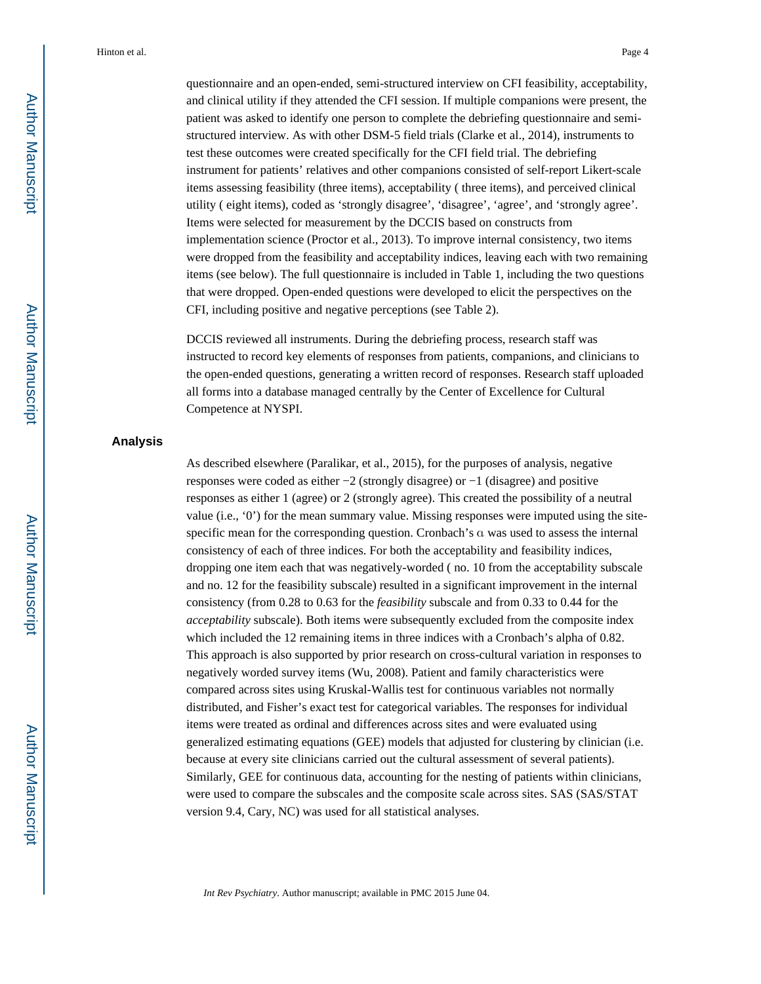questionnaire and an open-ended, semi-structured interview on CFI feasibility, acceptability, and clinical utility if they attended the CFI session. If multiple companions were present, the patient was asked to identify one person to complete the debriefing questionnaire and semistructured interview. As with other DSM-5 field trials (Clarke et al., 2014), instruments to test these outcomes were created specifically for the CFI field trial. The debriefing instrument for patients' relatives and other companions consisted of self-report Likert-scale items assessing feasibility (three items), acceptability ( three items), and perceived clinical utility ( eight items), coded as 'strongly disagree', 'disagree', 'agree', and 'strongly agree'. Items were selected for measurement by the DCCIS based on constructs from implementation science (Proctor et al., 2013). To improve internal consistency, two items were dropped from the feasibility and acceptability indices, leaving each with two remaining items (see below). The full questionnaire is included in Table 1, including the two questions that were dropped. Open-ended questions were developed to elicit the perspectives on the CFI, including positive and negative perceptions (see Table 2).

DCCIS reviewed all instruments. During the debriefing process, research staff was instructed to record key elements of responses from patients, companions, and clinicians to the open-ended questions, generating a written record of responses. Research staff uploaded all forms into a database managed centrally by the Center of Excellence for Cultural Competence at NYSPI.

#### **Analysis**

As described elsewhere (Paralikar, et al., 2015), for the purposes of analysis, negative responses were coded as either −2 (strongly disagree) or −1 (disagree) and positive responses as either 1 (agree) or 2 (strongly agree). This created the possibility of a neutral value (i.e., '0') for the mean summary value. Missing responses were imputed using the sitespecific mean for the corresponding question. Cronbach's α was used to assess the internal consistency of each of three indices. For both the acceptability and feasibility indices, dropping one item each that was negatively-worded ( no. 10 from the acceptability subscale and no. 12 for the feasibility subscale) resulted in a significant improvement in the internal consistency (from 0.28 to 0.63 for the *feasibility* subscale and from 0.33 to 0.44 for the *acceptability* subscale). Both items were subsequently excluded from the composite index which included the 12 remaining items in three indices with a Cronbach's alpha of 0.82. This approach is also supported by prior research on cross-cultural variation in responses to negatively worded survey items (Wu, 2008). Patient and family characteristics were compared across sites using Kruskal-Wallis test for continuous variables not normally distributed, and Fisher's exact test for categorical variables. The responses for individual items were treated as ordinal and differences across sites and were evaluated using generalized estimating equations (GEE) models that adjusted for clustering by clinician (i.e. because at every site clinicians carried out the cultural assessment of several patients). Similarly, GEE for continuous data, accounting for the nesting of patients within clinicians, were used to compare the subscales and the composite scale across sites. SAS (SAS/STAT version 9.4, Cary, NC) was used for all statistical analyses.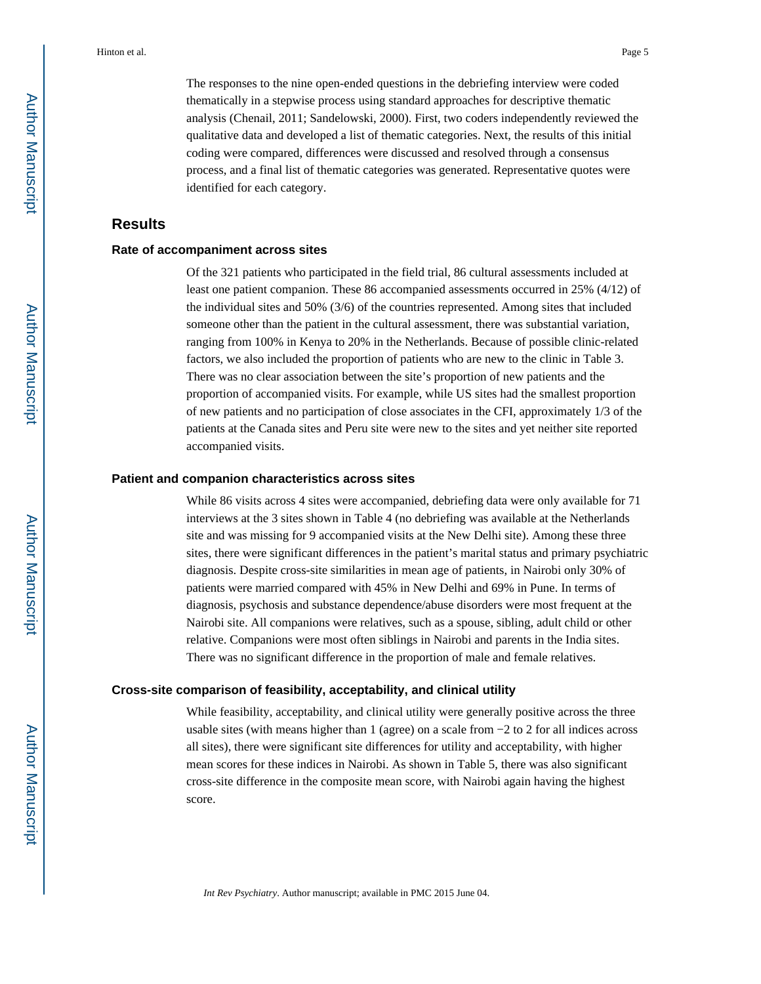Hinton et al. Page 5

The responses to the nine open-ended questions in the debriefing interview were coded thematically in a stepwise process using standard approaches for descriptive thematic analysis (Chenail, 2011; Sandelowski, 2000). First, two coders independently reviewed the qualitative data and developed a list of thematic categories. Next, the results of this initial coding were compared, differences were discussed and resolved through a consensus process, and a final list of thematic categories was generated. Representative quotes were identified for each category.

#### **Results**

#### **Rate of accompaniment across sites**

Of the 321 patients who participated in the field trial, 86 cultural assessments included at least one patient companion. These 86 accompanied assessments occurred in 25% (4/12) of the individual sites and 50% (3/6) of the countries represented. Among sites that included someone other than the patient in the cultural assessment, there was substantial variation, ranging from 100% in Kenya to 20% in the Netherlands. Because of possible clinic-related factors, we also included the proportion of patients who are new to the clinic in Table 3. There was no clear association between the site's proportion of new patients and the proportion of accompanied visits. For example, while US sites had the smallest proportion of new patients and no participation of close associates in the CFI, approximately 1/3 of the patients at the Canada sites and Peru site were new to the sites and yet neither site reported accompanied visits.

#### **Patient and companion characteristics across sites**

While 86 visits across 4 sites were accompanied, debriefing data were only available for 71 interviews at the 3 sites shown in Table 4 (no debriefing was available at the Netherlands site and was missing for 9 accompanied visits at the New Delhi site). Among these three sites, there were significant differences in the patient's marital status and primary psychiatric diagnosis. Despite cross-site similarities in mean age of patients, in Nairobi only 30% of patients were married compared with 45% in New Delhi and 69% in Pune. In terms of diagnosis, psychosis and substance dependence/abuse disorders were most frequent at the Nairobi site. All companions were relatives, such as a spouse, sibling, adult child or other relative. Companions were most often siblings in Nairobi and parents in the India sites. There was no significant difference in the proportion of male and female relatives.

#### **Cross-site comparison of feasibility, acceptability, and clinical utility**

While feasibility, acceptability, and clinical utility were generally positive across the three usable sites (with means higher than 1 (agree) on a scale from −2 to 2 for all indices across all sites), there were significant site differences for utility and acceptability, with higher mean scores for these indices in Nairobi. As shown in Table 5, there was also significant cross-site difference in the composite mean score, with Nairobi again having the highest score.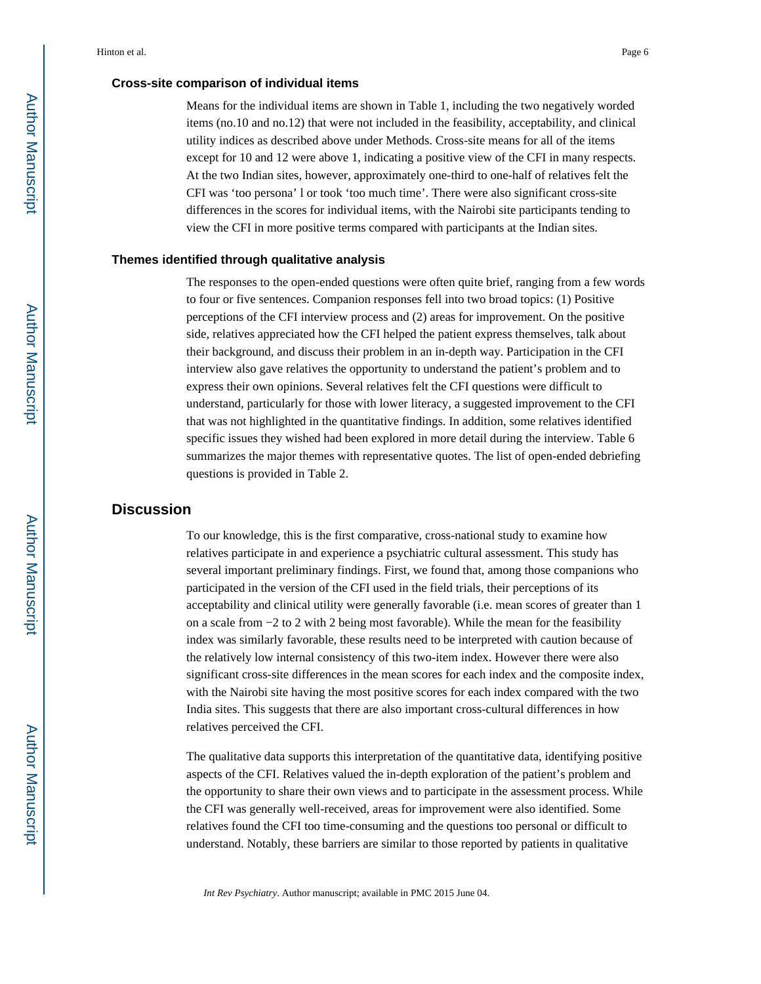#### **Cross-site comparison of individual items**

Means for the individual items are shown in Table 1, including the two negatively worded items (no.10 and no.12) that were not included in the feasibility, acceptability, and clinical utility indices as described above under Methods. Cross-site means for all of the items except for 10 and 12 were above 1, indicating a positive view of the CFI in many respects. At the two Indian sites, however, approximately one-third to one-half of relatives felt the CFI was 'too persona' l or took 'too much time'. There were also significant cross-site differences in the scores for individual items, with the Nairobi site participants tending to view the CFI in more positive terms compared with participants at the Indian sites.

#### **Themes identified through qualitative analysis**

The responses to the open-ended questions were often quite brief, ranging from a few words to four or five sentences. Companion responses fell into two broad topics: (1) Positive perceptions of the CFI interview process and (2) areas for improvement. On the positive side, relatives appreciated how the CFI helped the patient express themselves, talk about their background, and discuss their problem in an in-depth way. Participation in the CFI interview also gave relatives the opportunity to understand the patient's problem and to express their own opinions. Several relatives felt the CFI questions were difficult to understand, particularly for those with lower literacy, a suggested improvement to the CFI that was not highlighted in the quantitative findings. In addition, some relatives identified specific issues they wished had been explored in more detail during the interview. Table 6 summarizes the major themes with representative quotes. The list of open-ended debriefing questions is provided in Table 2.

## **Discussion**

To our knowledge, this is the first comparative, cross-national study to examine how relatives participate in and experience a psychiatric cultural assessment. This study has several important preliminary findings. First, we found that, among those companions who participated in the version of the CFI used in the field trials, their perceptions of its acceptability and clinical utility were generally favorable (i.e. mean scores of greater than 1 on a scale from −2 to 2 with 2 being most favorable). While the mean for the feasibility index was similarly favorable, these results need to be interpreted with caution because of the relatively low internal consistency of this two-item index. However there were also significant cross-site differences in the mean scores for each index and the composite index, with the Nairobi site having the most positive scores for each index compared with the two India sites. This suggests that there are also important cross-cultural differences in how relatives perceived the CFI.

The qualitative data supports this interpretation of the quantitative data, identifying positive aspects of the CFI. Relatives valued the in-depth exploration of the patient's problem and the opportunity to share their own views and to participate in the assessment process. While the CFI was generally well-received, areas for improvement were also identified. Some relatives found the CFI too time-consuming and the questions too personal or difficult to understand. Notably, these barriers are similar to those reported by patients in qualitative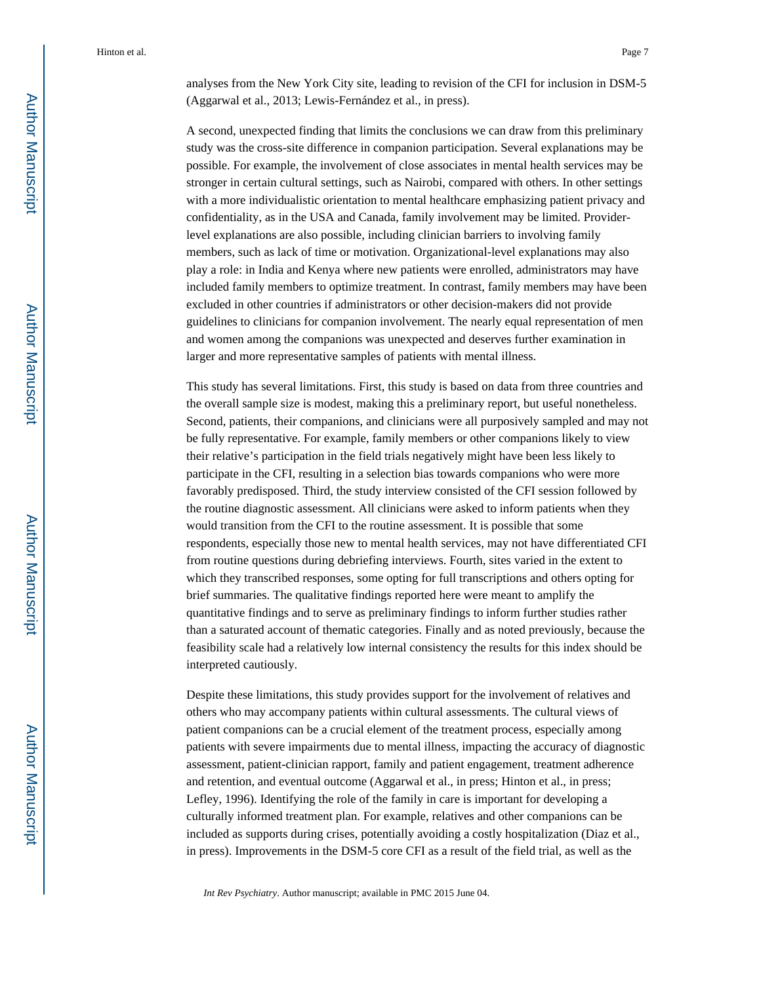Hinton et al. Page 7

analyses from the New York City site, leading to revision of the CFI for inclusion in DSM-5 (Aggarwal et al., 2013; Lewis-Fernández et al., in press).

A second, unexpected finding that limits the conclusions we can draw from this preliminary study was the cross-site difference in companion participation. Several explanations may be possible. For example, the involvement of close associates in mental health services may be stronger in certain cultural settings, such as Nairobi, compared with others. In other settings with a more individualistic orientation to mental healthcare emphasizing patient privacy and confidentiality, as in the USA and Canada, family involvement may be limited. Providerlevel explanations are also possible, including clinician barriers to involving family members, such as lack of time or motivation. Organizational-level explanations may also play a role: in India and Kenya where new patients were enrolled, administrators may have included family members to optimize treatment. In contrast, family members may have been excluded in other countries if administrators or other decision-makers did not provide guidelines to clinicians for companion involvement. The nearly equal representation of men and women among the companions was unexpected and deserves further examination in larger and more representative samples of patients with mental illness.

This study has several limitations. First, this study is based on data from three countries and the overall sample size is modest, making this a preliminary report, but useful nonetheless. Second, patients, their companions, and clinicians were all purposively sampled and may not be fully representative. For example, family members or other companions likely to view their relative's participation in the field trials negatively might have been less likely to participate in the CFI, resulting in a selection bias towards companions who were more favorably predisposed. Third, the study interview consisted of the CFI session followed by the routine diagnostic assessment. All clinicians were asked to inform patients when they would transition from the CFI to the routine assessment. It is possible that some respondents, especially those new to mental health services, may not have differentiated CFI from routine questions during debriefing interviews. Fourth, sites varied in the extent to which they transcribed responses, some opting for full transcriptions and others opting for brief summaries. The qualitative findings reported here were meant to amplify the quantitative findings and to serve as preliminary findings to inform further studies rather than a saturated account of thematic categories. Finally and as noted previously, because the feasibility scale had a relatively low internal consistency the results for this index should be interpreted cautiously.

Despite these limitations, this study provides support for the involvement of relatives and others who may accompany patients within cultural assessments. The cultural views of patient companions can be a crucial element of the treatment process, especially among patients with severe impairments due to mental illness, impacting the accuracy of diagnostic assessment, patient-clinician rapport, family and patient engagement, treatment adherence and retention, and eventual outcome (Aggarwal et al., in press; Hinton et al., in press; Lefley, 1996). Identifying the role of the family in care is important for developing a culturally informed treatment plan. For example, relatives and other companions can be included as supports during crises, potentially avoiding a costly hospitalization (Diaz et al., in press). Improvements in the DSM-5 core CFI as a result of the field trial, as well as the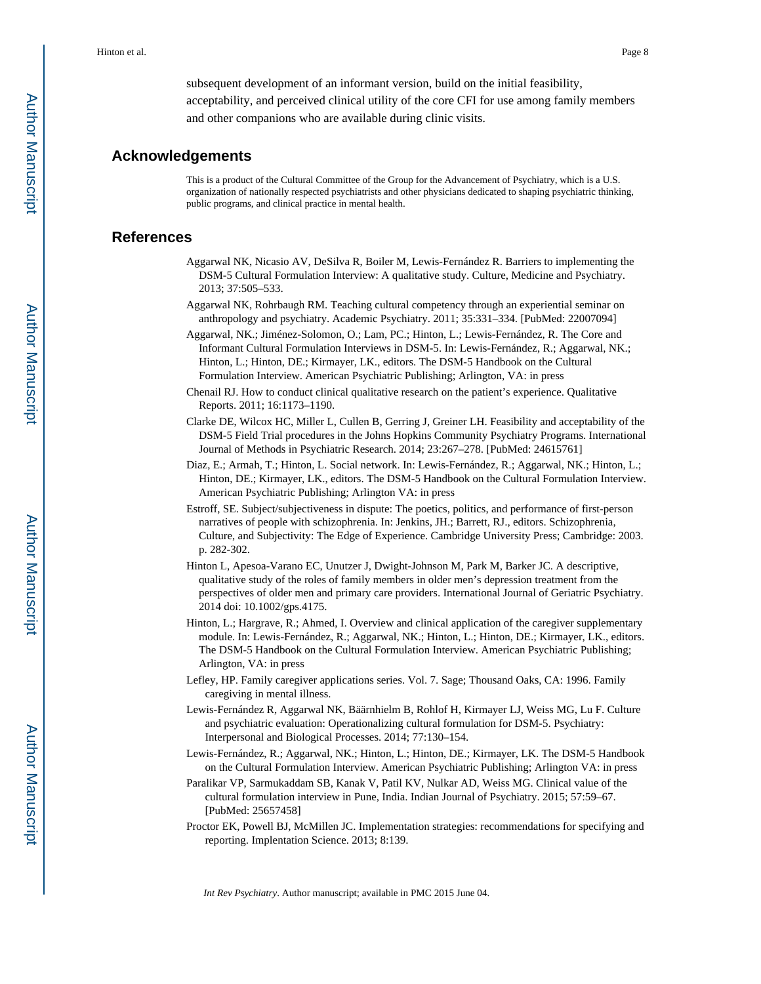subsequent development of an informant version, build on the initial feasibility,

acceptability, and perceived clinical utility of the core CFI for use among family members and other companions who are available during clinic visits.

#### **Acknowledgements**

This is a product of the Cultural Committee of the Group for the Advancement of Psychiatry, which is a U.S. organization of nationally respected psychiatrists and other physicians dedicated to shaping psychiatric thinking, public programs, and clinical practice in mental health.

#### **References**

- Aggarwal NK, Nicasio AV, DeSilva R, Boiler M, Lewis-Fernández R. Barriers to implementing the DSM-5 Cultural Formulation Interview: A qualitative study. Culture, Medicine and Psychiatry. 2013; 37:505–533.
- Aggarwal NK, Rohrbaugh RM. Teaching cultural competency through an experiential seminar on anthropology and psychiatry. Academic Psychiatry. 2011; 35:331–334. [PubMed: 22007094]

Aggarwal, NK.; Jiménez-Solomon, O.; Lam, PC.; Hinton, L.; Lewis-Fernández, R. The Core and Informant Cultural Formulation Interviews in DSM-5. In: Lewis-Fernández, R.; Aggarwal, NK.; Hinton, L.; Hinton, DE.; Kirmayer, LK., editors. The DSM-5 Handbook on the Cultural Formulation Interview. American Psychiatric Publishing; Arlington, VA: in press

Chenail RJ. How to conduct clinical qualitative research on the patient's experience. Qualitative Reports. 2011; 16:1173–1190.

- Clarke DE, Wilcox HC, Miller L, Cullen B, Gerring J, Greiner LH. Feasibility and acceptability of the DSM-5 Field Trial procedures in the Johns Hopkins Community Psychiatry Programs. International Journal of Methods in Psychiatric Research. 2014; 23:267–278. [PubMed: 24615761]
- Diaz, E.; Armah, T.; Hinton, L. Social network. In: Lewis-Fernández, R.; Aggarwal, NK.; Hinton, L.; Hinton, DE.; Kirmayer, LK., editors. The DSM-5 Handbook on the Cultural Formulation Interview. American Psychiatric Publishing; Arlington VA: in press
- Estroff, SE. Subject/subjectiveness in dispute: The poetics, politics, and performance of first-person narratives of people with schizophrenia. In: Jenkins, JH.; Barrett, RJ., editors. Schizophrenia, Culture, and Subjectivity: The Edge of Experience. Cambridge University Press; Cambridge: 2003. p. 282-302.
- Hinton L, Apesoa-Varano EC, Unutzer J, Dwight-Johnson M, Park M, Barker JC. A descriptive, qualitative study of the roles of family members in older men's depression treatment from the perspectives of older men and primary care providers. International Journal of Geriatric Psychiatry. 2014 doi: 10.1002/gps.4175.
- Hinton, L.; Hargrave, R.; Ahmed, I. Overview and clinical application of the caregiver supplementary module. In: Lewis-Fernández, R.; Aggarwal, NK.; Hinton, L.; Hinton, DE.; Kirmayer, LK., editors. The DSM-5 Handbook on the Cultural Formulation Interview. American Psychiatric Publishing; Arlington, VA: in press
- Lefley, HP. Family caregiver applications series. Vol. 7. Sage; Thousand Oaks, CA: 1996. Family caregiving in mental illness.
- Lewis-Fernández R, Aggarwal NK, Bäärnhielm B, Rohlof H, Kirmayer LJ, Weiss MG, Lu F. Culture and psychiatric evaluation: Operationalizing cultural formulation for DSM-5. Psychiatry: Interpersonal and Biological Processes. 2014; 77:130–154.
- Lewis-Fernández, R.; Aggarwal, NK.; Hinton, L.; Hinton, DE.; Kirmayer, LK. The DSM-5 Handbook on the Cultural Formulation Interview. American Psychiatric Publishing; Arlington VA: in press
- Paralikar VP, Sarmukaddam SB, Kanak V, Patil KV, Nulkar AD, Weiss MG. Clinical value of the cultural formulation interview in Pune, India. Indian Journal of Psychiatry. 2015; 57:59–67. [PubMed: 25657458]
- Proctor EK, Powell BJ, McMillen JC. Implementation strategies: recommendations for specifying and reporting. Implentation Science. 2013; 8:139.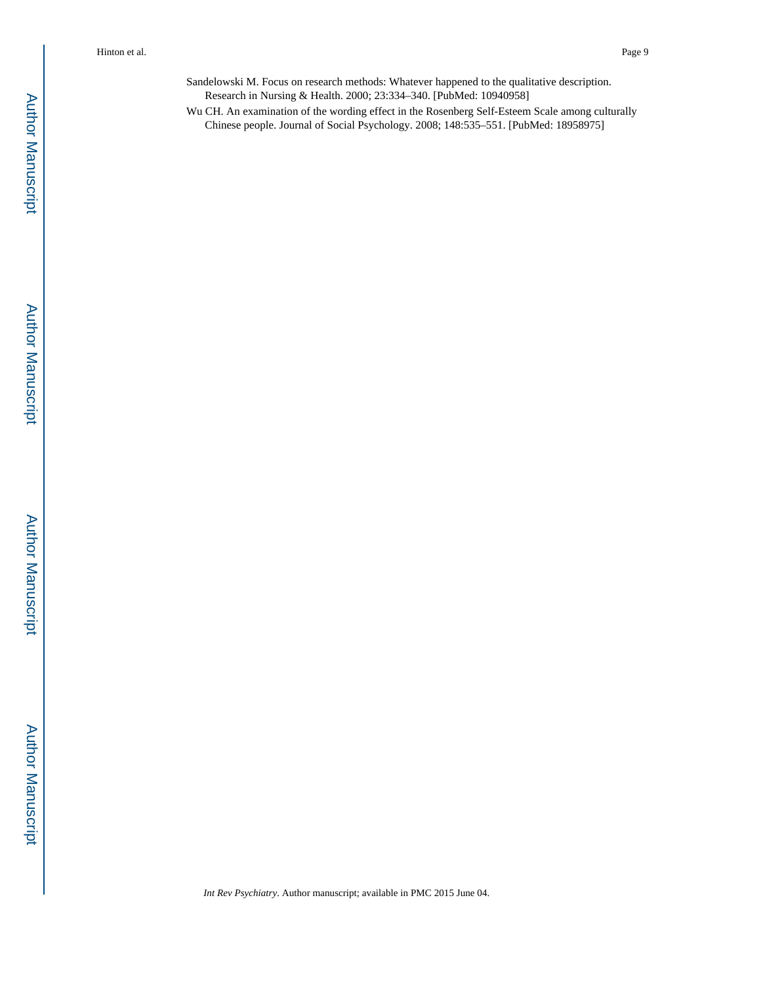- Sandelowski M. Focus on research methods: Whatever happened to the qualitative description. Research in Nursing & Health. 2000; 23:334–340. [PubMed: 10940958]
- Wu CH. An examination of the wording effect in the Rosenberg Self-Esteem Scale among culturally Chinese people. Journal of Social Psychology. 2008; 148:535–551. [PubMed: 18958975]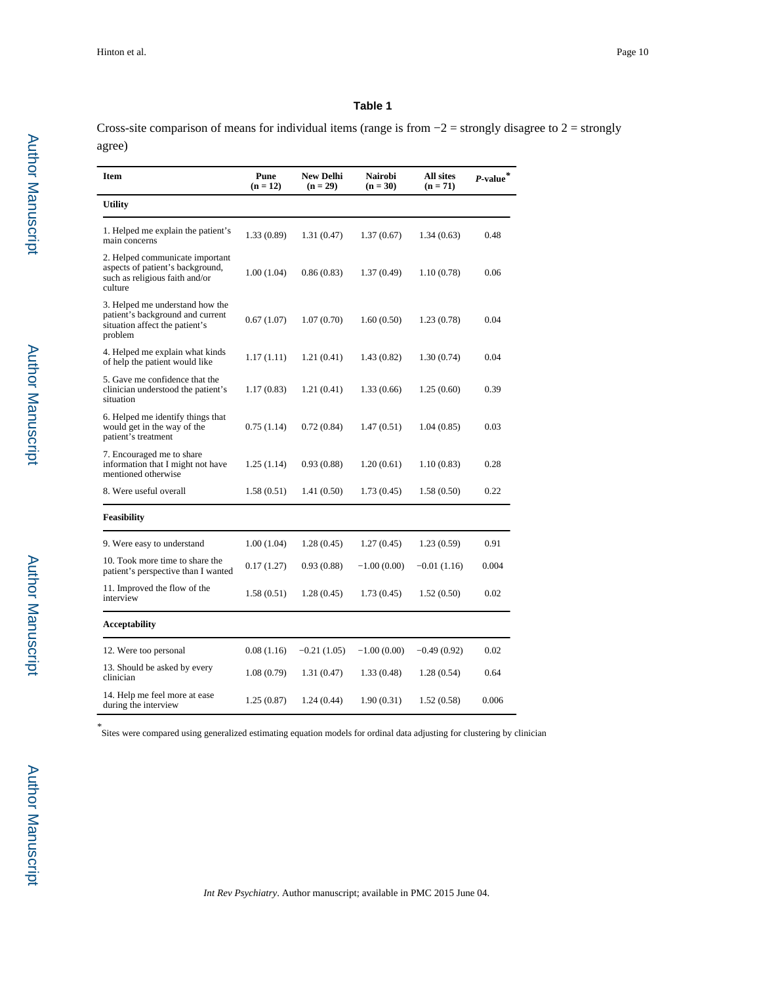Cross-site comparison of means for individual items (range is from  $-2$  = strongly disagree to 2 = strongly agree)

| Item                                                                                                             | Pune<br>$(n = 12)$ | <b>New Delhi</b><br>$(n = 29)$ | <b>Nairobi</b><br>$(n = 30)$ | <b>All sites</b><br>$(n = 71)$ | $P$ -value* |
|------------------------------------------------------------------------------------------------------------------|--------------------|--------------------------------|------------------------------|--------------------------------|-------------|
| <b>Utility</b>                                                                                                   |                    |                                |                              |                                |             |
| 1. Helped me explain the patient's<br>main concerns                                                              | 1.33 (0.89)        | 1.31(0.47)                     | 1.37(0.67)                   | 1.34(0.63)                     | 0.48        |
| 2. Helped communicate important<br>aspects of patient's background,<br>such as religious faith and/or<br>culture | 1.00 (1.04)        | 0.86(0.83)                     | 1.37 (0.49)                  | 1.10 (0.78)                    | 0.06        |
| 3. Helped me understand how the<br>patient's background and current<br>situation affect the patient's<br>problem | 0.67(1.07)         | 1.07(0.70)                     | 1.60(0.50)                   | 1.23(0.78)                     | 0.04        |
| 4. Helped me explain what kinds<br>of help the patient would like                                                | 1.17(1.11)         | 1.21(0.41)                     | 1.43 (0.82)                  | 1.30(0.74)                     | 0.04        |
| 5. Gave me confidence that the<br>clinician understood the patient's<br>situation                                | 1.17 (0.83)        | 1.21(0.41)                     | 1.33 (0.66)                  | 1.25(0.60)                     | 0.39        |
| 6. Helped me identify things that<br>would get in the way of the<br>patient's treatment                          | 0.75(1.14)         | 0.72(0.84)                     | 1.47 (0.51)                  | 1.04(0.85)                     | 0.03        |
| 7. Encouraged me to share<br>information that I might not have<br>mentioned otherwise                            | 1.25 (1.14)        | 0.93(0.88)                     | 1.20(0.61)                   | 1.10 (0.83)                    | 0.28        |
| 8. Were useful overall                                                                                           | 1.58 (0.51)        | 1.41(0.50)                     | 1.73 (0.45)                  | 1.58(0.50)                     | 0.22        |
| <b>Feasibility</b>                                                                                               |                    |                                |                              |                                |             |
| 9. Were easy to understand                                                                                       | 1.00(1.04)         | 1.28(0.45)                     | 1.27(0.45)                   | 1.23(0.59)                     | 0.91        |
| 10. Took more time to share the<br>patient's perspective than I wanted                                           | 0.17(1.27)         | 0.93(0.88)                     | $-1.00(0.00)$                | $-0.01(1.16)$                  | 0.004       |
| 11. Improved the flow of the<br>interview                                                                        | 1.58(0.51)         | 1.28(0.45)                     | 1.73 (0.45)                  | 1.52(0.50)                     | 0.02        |
| Acceptability                                                                                                    |                    |                                |                              |                                |             |
| 12. Were too personal                                                                                            | 0.08(1.16)         | $-0.21(1.05)$                  | $-1.00(0.00)$                | $-0.49(0.92)$                  | 0.02        |
| 13. Should be asked by every<br>clinician                                                                        | 1.08(0.79)         | 1.31(0.47)                     | 1.33 (0.48)                  | 1.28 (0.54)                    | 0.64        |
| 14. Help me feel more at ease<br>during the interview                                                            | 1.25 (0.87)        | 1.24(0.44)                     | 1.90 (0.31)                  | 1.52(0.58)                     | 0.006       |

*\** Sites were compared using generalized estimating equation models for ordinal data adjusting for clustering by clinician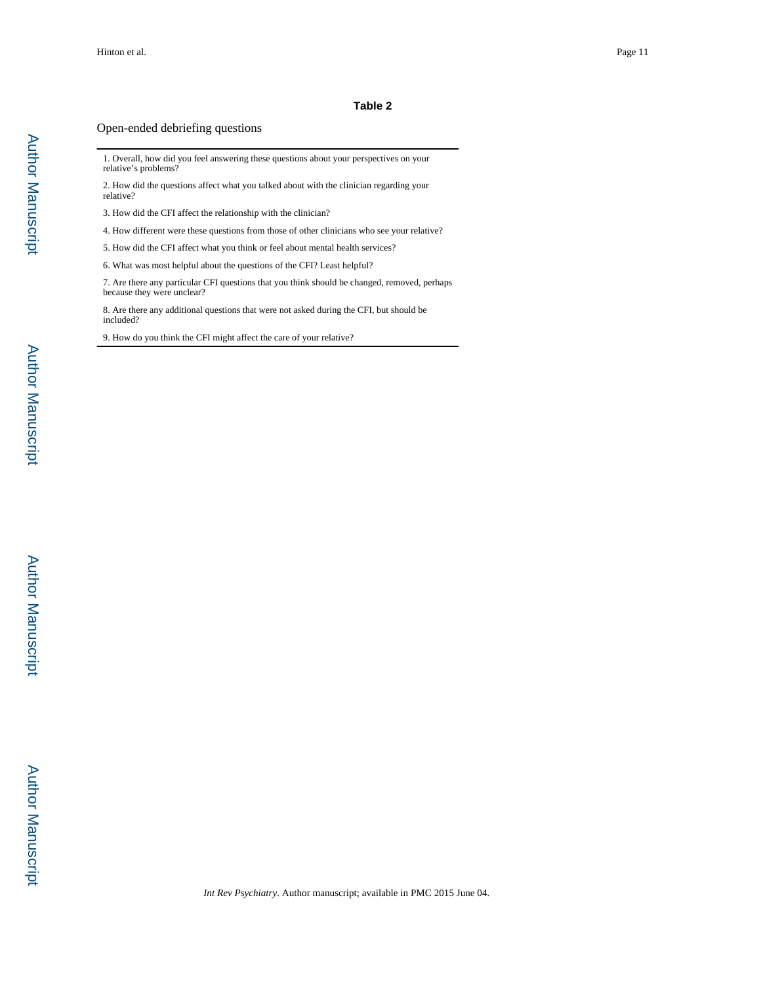#### Open-ended debriefing questions

1. Overall, how did you feel answering these questions about your perspectives on your relative's problems?

2. How did the questions affect what you talked about with the clinician regarding your relative?

3. How did the CFI affect the relationship with the clinician?

4. How different were these questions from those of other clinicians who see your relative?

5. How did the CFI affect what you think or feel about mental health services?

6. What was most helpful about the questions of the CFI? Least helpful?

7. Are there any particular CFI questions that you think should be changed, removed, perhaps because they were unclear?

8. Are there any additional questions that were not asked during the CFI, but should be included?

9. How do you think the CFI might affect the care of your relative?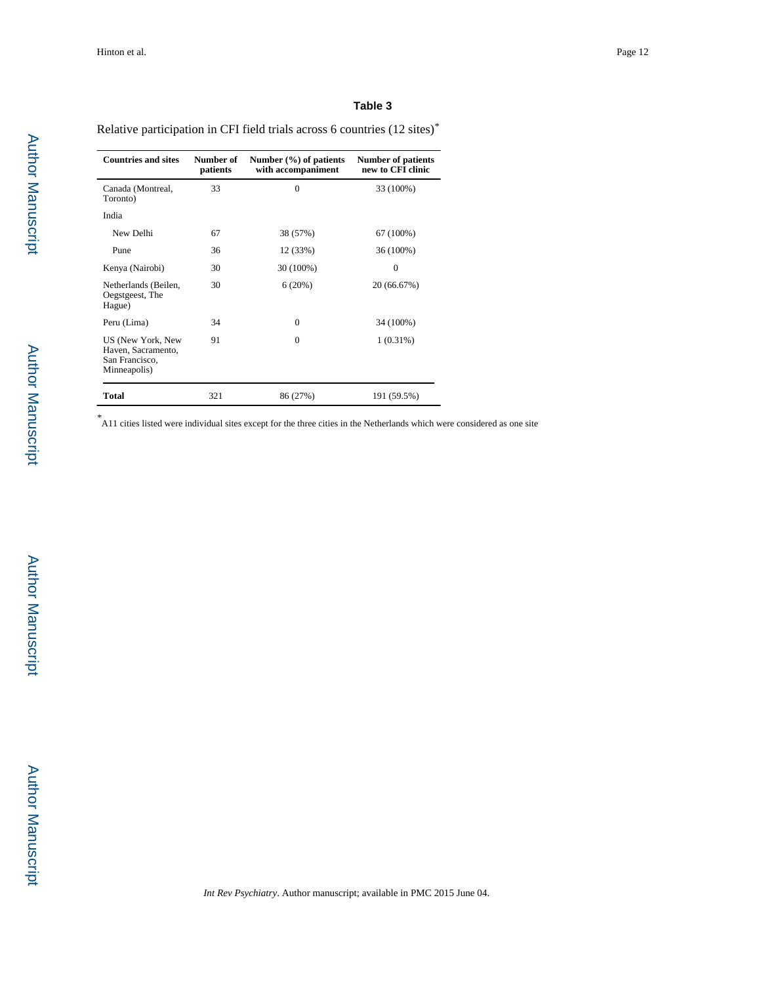Relative participation in CFI field trials across 6 countries (12 sites)*\**

| <b>Countries and sites</b>                                                | Number of<br>patients | Number $(\% )$ of patients<br>with accompaniment | <b>Number of patients</b><br>new to CFI clinic |
|---------------------------------------------------------------------------|-----------------------|--------------------------------------------------|------------------------------------------------|
| Canada (Montreal,<br>Toronto)                                             | 33                    | $\Omega$                                         | 33 (100%)                                      |
| India                                                                     |                       |                                                  |                                                |
| New Delhi                                                                 | 67                    | 38 (57%)                                         | 67 (100%)                                      |
| Pune                                                                      | 36                    | 12 (33%)                                         | 36 (100%)                                      |
| Kenya (Nairobi)                                                           | 30                    | 30 (100%)                                        | $\theta$                                       |
| Netherlands (Beilen,<br>Oegstgeest, The<br>Hague)                         | 30                    | 6(20%)                                           | 20 (66.67%)                                    |
| Peru (Lima)                                                               | 34                    | $\Omega$                                         | 34 (100%)                                      |
| US (New York, New<br>Haven, Sacramento,<br>San Francisco,<br>Minneapolis) | 91                    | $\Omega$                                         | $1(0.31\%)$                                    |
| Total                                                                     | 321                   | 86 (27%)                                         | 191 (59.5%)                                    |

*\** A11 cities listed were individual sites except for the three cities in the Netherlands which were considered as one site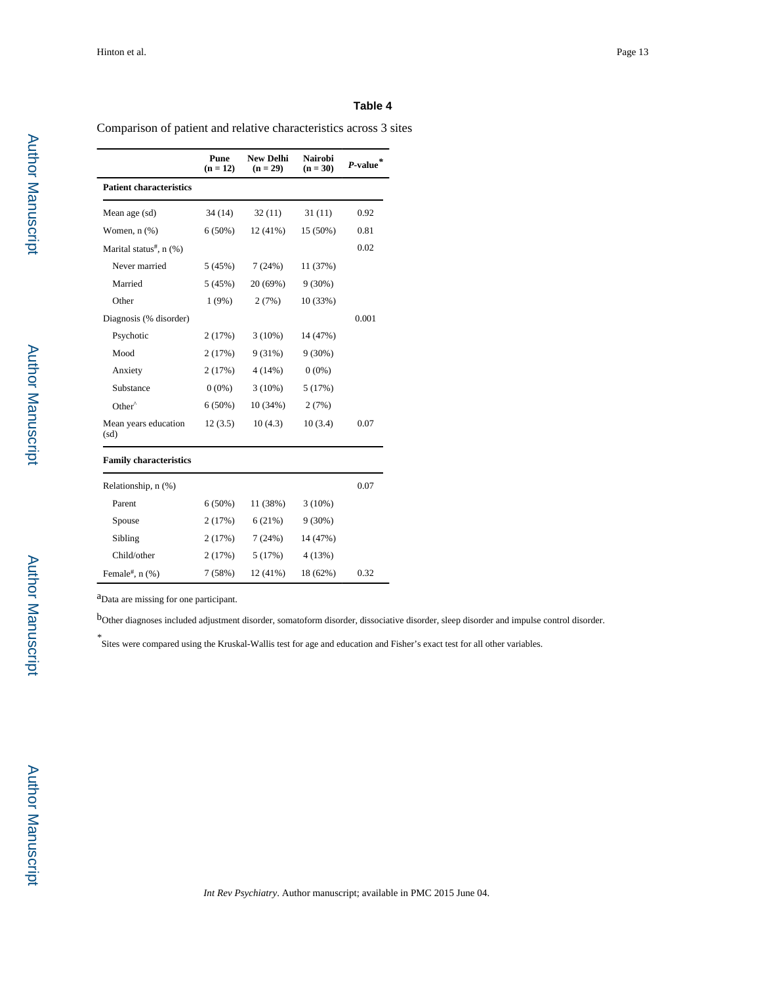Comparison of patient and relative characteristics across 3 sites

|                                | Pune<br>$(n = 12)$ | <b>New Delhi</b><br>$(n = 29)$ | <b>Nairobi</b><br>$(n = 30)$ | P-value |
|--------------------------------|--------------------|--------------------------------|------------------------------|---------|
| <b>Patient characteristics</b> |                    |                                |                              |         |
| Mean age (sd)                  | 34 (14)            | 32(11)                         | 31(11)                       | 0.92    |
| Women, $n$ $(\%)$              | $6(50\%)$          | $12(41\%)$                     | 15 (50%)                     | 0.81    |
| Marital status#, $n$ (%)       |                    |                                |                              | 0.02    |
| Never married                  | 5(45%)             | 7(24%)                         | 11 (37%)                     |         |
| Married                        | 5(45%)             | 20(69%)                        | $9(30\%)$                    |         |
| Other                          | 1(9%)              | 2(7%)                          | 10 (33%)                     |         |
| Diagnosis (% disorder)         |                    |                                |                              | 0.001   |
| Psychotic                      | 2(17%)             | $3(10\%)$                      | 14 (47%)                     |         |
| Mood                           | 2(17%)             | 9(31%)                         | $9(30\%)$                    |         |
| Anxiety                        | 2(17%)             | 4(14%)                         | $0(0\%)$                     |         |
| Substance                      | $0(0\%)$           | $3(10\%)$                      | 5(17%)                       |         |
| $Other^{\wedge}$               | $6(50\%)$          | 10(34%)                        | 2(7%)                        |         |
| Mean years education<br>(sd)   | 12(3.5)            | 10(4.3)                        | 10(3.4)                      | 0.07    |
| <b>Family characteristics</b>  |                    |                                |                              |         |
| Relationship, n (%)            |                    |                                |                              | 0.07    |
| Parent                         | $6(50\%)$          | 11 (38%)                       | $3(10\%)$                    |         |
| Spouse                         | 2(17%)             | 6(21%)                         | $9(30\%)$                    |         |
| Sibling                        | 2(17%)             | 7(24%)                         | 14 (47%)                     |         |
| Child/other                    | 2(17%)             | 5(17%)                         | 4(13%)                       |         |
| Female <sup>#</sup> , $n$ (%)  | 7(58%)             | 12 (41%)                       | 18 (62%)                     | 0.32    |

aData are missing for one participant.

bOther diagnoses included adjustment disorder, somatoform disorder, dissociative disorder, sleep disorder and impulse control disorder.

*\** Sites were compared using the Kruskal-Wallis test for age and education and Fisher's exact test for all other variables.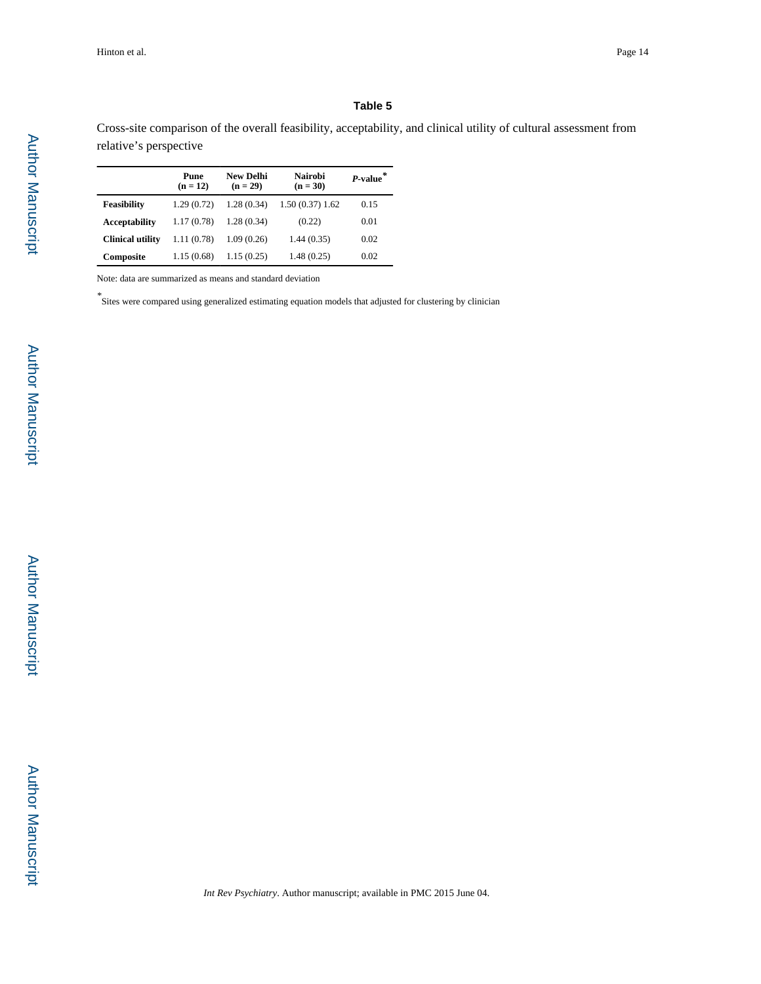Cross-site comparison of the overall feasibility, acceptability, and clinical utility of cultural assessment from relative's perspective

|                         | Pune<br>$(n = 12)$ | <b>New Delhi</b><br>$(n = 29)$ | Nairobi<br>$(n = 30)$ | $P$ -value <sup>*</sup> |
|-------------------------|--------------------|--------------------------------|-----------------------|-------------------------|
| Feasibility             | 1.29(0.72)         | 1.28(0.34)                     | 1.50(0.37)1.62        | 0.15                    |
| <b>Acceptability</b>    | 1.17(0.78)         | 1.28(0.34)                     | (0.22)                | 0.01                    |
| <b>Clinical utility</b> | 1.11(0.78)         | 1.09(0.26)                     | 1.44(0.35)            | 0.02                    |
| Composite               | 1.15(0.68)         | 1.15(0.25)                     | 1.48(0.25)            | 0.02                    |

Note: data are summarized as means and standard deviation

*\** Sites were compared using generalized estimating equation models that adjusted for clustering by clinician